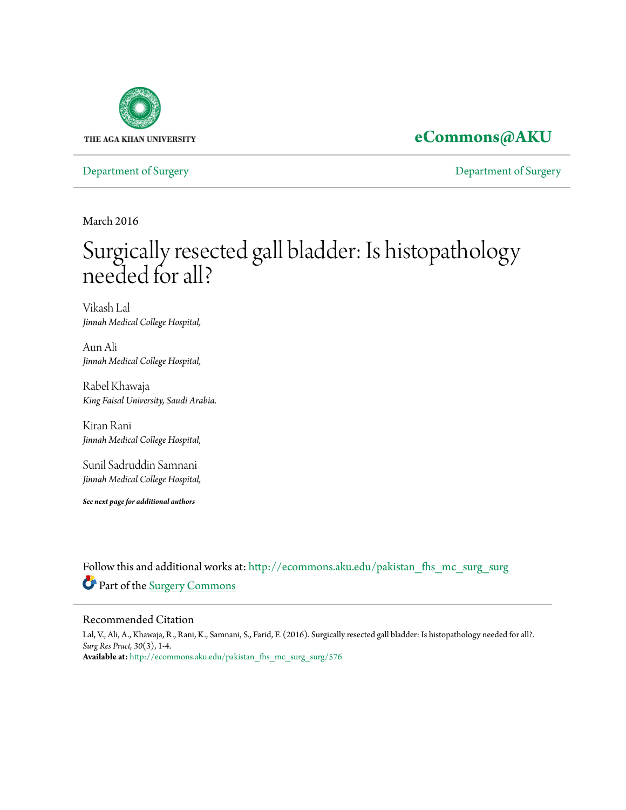

## **[eCommons@AKU](http://ecommons.aku.edu?utm_source=ecommons.aku.edu%2Fpakistan_fhs_mc_surg_surg%2F576&utm_medium=PDF&utm_campaign=PDFCoverPages)**

[Department of Surgery](http://ecommons.aku.edu/pakistan_fhs_mc_surg_surg?utm_source=ecommons.aku.edu%2Fpakistan_fhs_mc_surg_surg%2F576&utm_medium=PDF&utm_campaign=PDFCoverPages) [Department of Surgery](http://ecommons.aku.edu/pakistan_fhs_mc_surg?utm_source=ecommons.aku.edu%2Fpakistan_fhs_mc_surg_surg%2F576&utm_medium=PDF&utm_campaign=PDFCoverPages)

March 2016

# Surgically resected gall bladder: Is histopathology needed for all?

Vikash Lal *Jinnah Medical College Hospital,*

Aun Ali *Jinnah Medical College Hospital,*

Rabel Khawaja *King Faisal University, Saudi Arabia.*

Kiran Rani *Jinnah Medical College Hospital,*

Sunil Sadruddin Samnani *Jinnah Medical College Hospital,*

*See next page for additional authors*

Follow this and additional works at: [http://ecommons.aku.edu/pakistan\\_fhs\\_mc\\_surg\\_surg](http://ecommons.aku.edu/pakistan_fhs_mc_surg_surg?utm_source=ecommons.aku.edu%2Fpakistan_fhs_mc_surg_surg%2F576&utm_medium=PDF&utm_campaign=PDFCoverPages) Part of the [Surgery Commons](http://network.bepress.com/hgg/discipline/706?utm_source=ecommons.aku.edu%2Fpakistan_fhs_mc_surg_surg%2F576&utm_medium=PDF&utm_campaign=PDFCoverPages)

#### Recommended Citation

Lal, V., Ali, A., Khawaja, R., Rani, K., Samnani, S., Farid, F. (2016). Surgically resected gall bladder: Is histopathology needed for all?. *Surg Res Pract, 30*(3), 1-4. **Available at:** [http://ecommons.aku.edu/pakistan\\_fhs\\_mc\\_surg\\_surg/576](http://ecommons.aku.edu/pakistan_fhs_mc_surg_surg/576)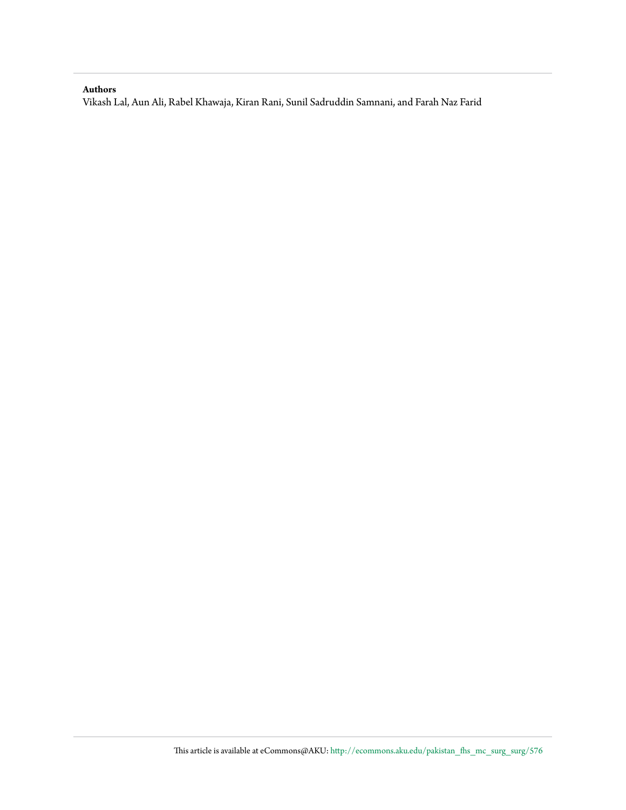#### **Authors**

Vikash Lal, Aun Ali, Rabel Khawaja, Kiran Rani, Sunil Sadruddin Samnani, and Farah Naz Farid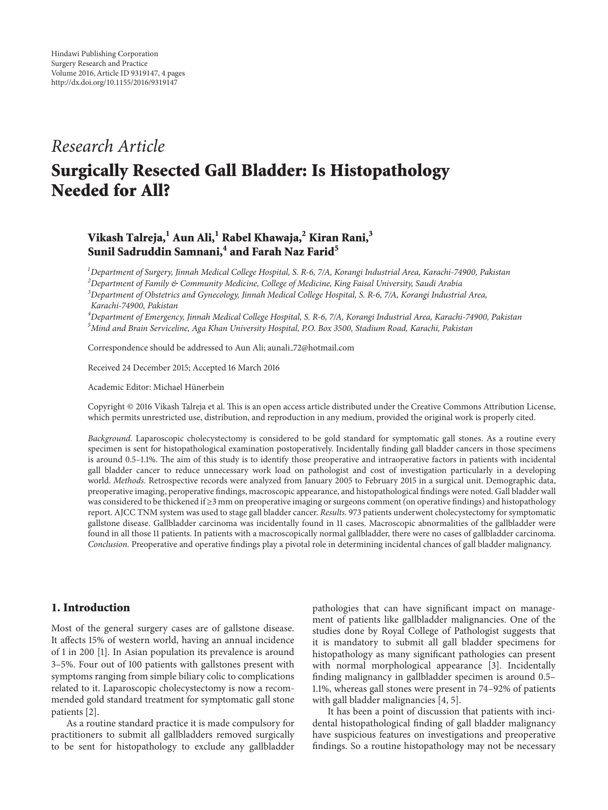### *Research Article*

## **Surgically Resected Gall Bladder: Is Histopathology Needed for All?**

#### **Vikash Talreja,1 Aun Ali,1 Rabel Khawaja,<sup>2</sup> Kiran Rani,3 Sunil Sadruddin Samnani,4 and Farah Naz Farid<sup>5</sup>**

 *Department of Surgery, Jinnah Medical College Hospital, S. R-6, 7/A, Korangi Industrial Area, Karachi-74900, Pakistan Department of Family & Community Medicine, College of Medicine, King Faisal University, Saudi Arabia Department of Obstetrics and Gynecology, Jinnah Medical College Hospital, S. R-6, 7/A, Korangi Industrial Area, Karachi-74900, Pakistan*

*4 Department of Emergency, Jinnah Medical College Hospital, S. R-6, 7/A, Korangi Industrial Area, Karachi-74900, Pakistan 5 Mind and Brain Serviceline, Aga Khan University Hospital, P.O. Box 3500, Stadium Road, Karachi, Pakistan*

Correspondence should be addressed to Aun Ali; aunali 72@hotmail.com

Received 24 December 2015; Accepted 16 March 2016

Academic Editor: Michael Hünerbein

Copyright © 2016 Vikash Talreja et al. This is an open access article distributed under the Creative Commons Attribution License, which permits unrestricted use, distribution, and reproduction in any medium, provided the original work is properly cited.

*Background.* Laparoscopic cholecystectomy is considered to be gold standard for symptomatic gall stones. As a routine every specimen is sent for histopathological examination postoperatively. Incidentally finding gall bladder cancers in those specimens is around 0.5–1.1%. The aim of this study is to identify those preoperative and intraoperative factors in patients with incidental gall bladder cancer to reduce unnecessary work load on pathologist and cost of investigation particularly in a developing world. *Methods.* Retrospective records were analyzed from January 2005 to February 2015 in a surgical unit. Demographic data, preoperative imaging, peroperative findings, macroscopic appearance, and histopathological findings were noted. Gall bladder wall was considered to be thickened if ≥3 mm on preoperative imaging or surgeons comment (on operative findings) and histopathology report. AJCC TNM system was used to stage gall bladder cancer. *Results.* 973 patients underwent cholecystectomy for symptomatic gallstone disease. Gallbladder carcinoma was incidentally found in 11 cases. Macroscopic abnormalities of the gallbladder were found in all those 11 patients. In patients with a macroscopically normal gallbladder, there were no cases of gallbladder carcinoma. *Conclusion.* Preoperative and operative findings play a pivotal role in determining incidental chances of gall bladder malignancy.

#### **1. Introduction**

Most of the general surgery cases are of gallstone disease. It affects 15% of western world, having an annual incidence of 1 in 200 [1]. In Asian population its prevalence is around 3–5%. Four out of 100 patients with gallstones present with symptoms ranging from simple biliary colic to complications related to it. Laparoscopic cholecystectomy is now a recommended gold standard treatment for symptomatic gall stone patients [2].

As a routine standard practice it is made compulsory for practitioners to submit all gallbladders removed surgically to be sent for histopathology to exclude any gallbladder pathologies that can have significant impact on management of patients like gallbladder malignancies. One of the studies done by Royal College of Pathologist suggests that it is mandatory to submit all gall bladder specimens for histopathology as many significant pathologies can present with normal morphological appearance [3]. Incidentally finding malignancy in gallbladder specimen is around 0.5– 1.1%, whereas gall stones were present in 74–92% of patients with gall bladder malignancies [4, 5].

It has been a point of discussion that patients with incidental histopathological finding of gall bladder malignancy have suspicious features on investigations and preoperative findings. So a routine histopathology may not be necessary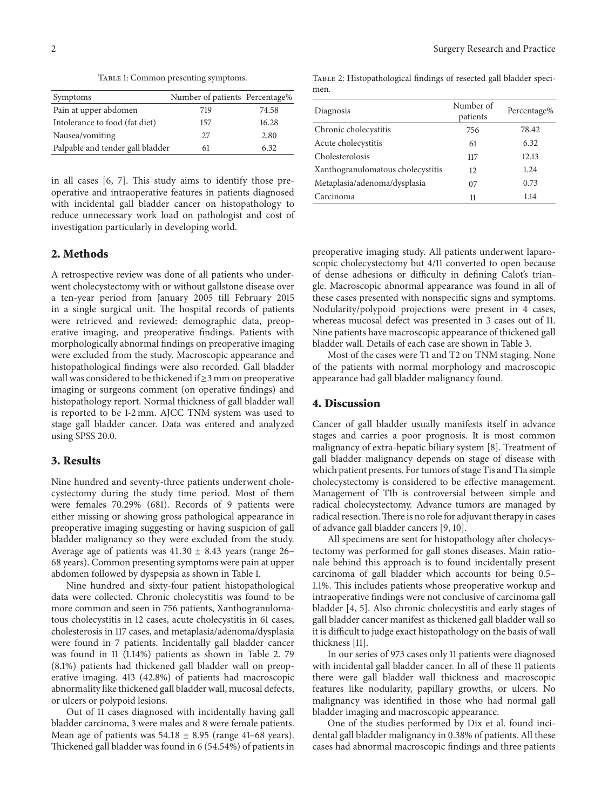TABLE 1: Common presenting symptoms.

| Symptoms                         | Number of patients Percentage% |       |
|----------------------------------|--------------------------------|-------|
| Pain at upper abdomen            | 719                            | 74.58 |
| Intolerance to food (fat diet)   | 157                            | 16.28 |
| Nausea/vomiting                  | 27                             | 2.80  |
| Palpable and tender gall bladder | 61                             | 6.32  |

in all cases [6, 7]. This study aims to identify those preoperative and intraoperative features in patients diagnosed with incidental gall bladder cancer on histopathology to reduce unnecessary work load on pathologist and cost of investigation particularly in developing world.

#### **2. Methods**

A retrospective review was done of all patients who underwent cholecystectomy with or without gallstone disease over a ten-year period from January 2005 till February 2015 in a single surgical unit. The hospital records of patients were retrieved and reviewed: demographic data, preoperative imaging, and preoperative findings. Patients with morphologically abnormal findings on preoperative imaging were excluded from the study. Macroscopic appearance and histopathological findings were also recorded. Gall bladder wall was considered to be thickened if ≥3 mm on preoperative imaging or surgeons comment (on operative findings) and histopathology report. Normal thickness of gall bladder wall is reported to be 1-2 mm. AJCC TNM system was used to stage gall bladder cancer. Data was entered and analyzed using SPSS 20.0.

#### **3. Results**

Nine hundred and seventy-three patients underwent cholecystectomy during the study time period. Most of them were females 70.29% (681). Records of 9 patients were either missing or showing gross pathological appearance in preoperative imaging suggesting or having suspicion of gall bladder malignancy so they were excluded from the study. Average age of patients was  $41.30 \pm 8.43$  years (range 26– 68 years). Common presenting symptoms were pain at upper abdomen followed by dyspepsia as shown in Table 1.

Nine hundred and sixty-four patient histopathological data were collected. Chronic cholecystitis was found to be more common and seen in 756 patients, Xanthogranulomatous cholecystitis in 12 cases, acute cholecystitis in 61 cases, cholesterosis in 117 cases, and metaplasia/adenoma/dysplasia were found in 7 patients. Incidentally gall bladder cancer was found in 11 (1.14%) patients as shown in Table 2. 79 (8.1%) patients had thickened gall bladder wall on preoperative imaging. 413 (42.8%) of patients had macroscopic abnormality like thickened gall bladder wall, mucosal defects, or ulcers or polypoid lesions.

Out of 11 cases diagnosed with incidentally having gall bladder carcinoma, 3 were males and 8 were female patients. Mean age of patients was  $54.18 \pm 8.95$  (range 41-68 years). Thickened gall bladder was found in 6 (54.54%) of patients in

TABLE 2: Histopathological findings of resected gall bladder specimen.

| Diagnosis                         | Number of<br>patients | Percentage% |  |
|-----------------------------------|-----------------------|-------------|--|
| Chronic cholecystitis             | 756                   | 78.42       |  |
| Acute cholecystitis               | 61                    | 6.32        |  |
| Cholesterolosis                   | 117                   | 12.13       |  |
| Xanthogranulomatous cholecystitis | 12                    | 1.24        |  |
| Metaplasia/adenoma/dysplasia      | 07                    | 0.73        |  |
| Carcinoma                         | 11                    | 1.14        |  |
|                                   |                       |             |  |

preoperative imaging study. All patients underwent laparoscopic cholecystectomy but 4/11 converted to open because of dense adhesions or difficulty in defining Calot's triangle. Macroscopic abnormal appearance was found in all of these cases presented with nonspecific signs and symptoms. Nodularity/polypoid projections were present in 4 cases, whereas mucosal defect was presented in 3 cases out of 11. Nine patients have macroscopic appearance of thickened gall bladder wall. Details of each case are shown in Table 3.

Most of the cases were T1 and T2 on TNM staging. None of the patients with normal morphology and macroscopic appearance had gall bladder malignancy found.

#### **4. Discussion**

Cancer of gall bladder usually manifests itself in advance stages and carries a poor prognosis. It is most common malignancy of extra-hepatic biliary system [8]. Treatment of gall bladder malignancy depends on stage of disease with which patient presents. For tumors of stage Tis and T1a simple cholecystectomy is considered to be effective management. Management of T1b is controversial between simple and radical cholecystectomy. Advance tumors are managed by radical resection.There is no role for adjuvant therapy in cases of advance gall bladder cancers [9, 10].

All specimens are sent for histopathology after cholecystectomy was performed for gall stones diseases. Main rationale behind this approach is to found incidentally present carcinoma of gall bladder which accounts for being 0.5– 1.1%. This includes patients whose preoperative workup and intraoperative findings were not conclusive of carcinoma gall bladder [4, 5]. Also chronic cholecystitis and early stages of gall bladder cancer manifest as thickened gall bladder wall so it is difficult to judge exact histopathology on the basis of wall thickness [11].

In our series of 973 cases only 11 patients were diagnosed with incidental gall bladder cancer. In all of these 11 patients there were gall bladder wall thickness and macroscopic features like nodularity, papillary growths, or ulcers. No malignancy was identified in those who had normal gall bladder imaging and macroscopic appearance.

One of the studies performed by Dix et al. found incidental gall bladder malignancy in 0.38% of patients. All these cases had abnormal macroscopic findings and three patients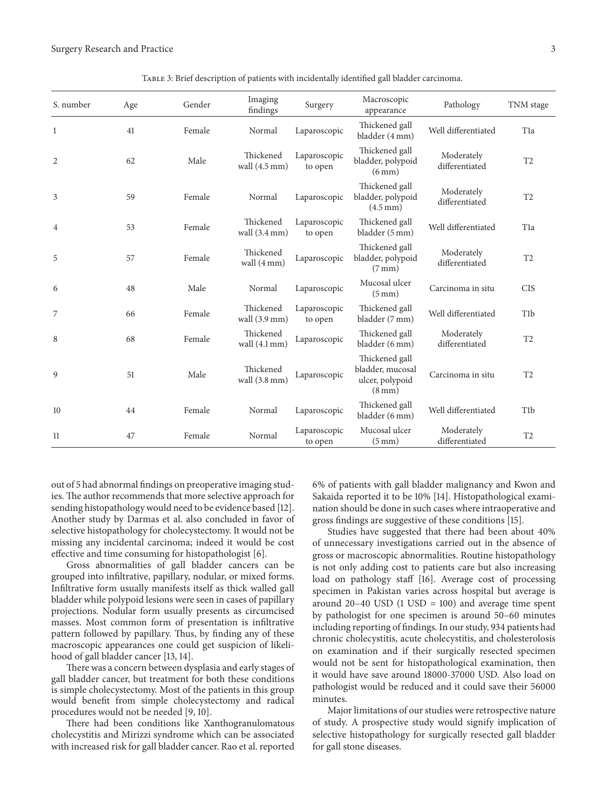| S. number      | Age | Gender | Imaging<br>findings                  | Surgery                 | Macroscopic<br>appearance                                                 | Pathology                    | TNM stage        |
|----------------|-----|--------|--------------------------------------|-------------------------|---------------------------------------------------------------------------|------------------------------|------------------|
| $\mathbf{1}$   | 41  | Female | Normal                               | Laparoscopic            | Thickened gall<br>bladder (4 mm)                                          | Well differentiated          | T <sub>1</sub> a |
| $\overline{2}$ | 62  | Male   | Thickened<br>wall $(4.5 \text{ mm})$ | Laparoscopic<br>to open | Thickened gall<br>bladder, polypoid<br>$(6 \text{ mm})$                   | Moderately<br>differentiated | T <sub>2</sub>   |
| 3              | 59  | Female | Normal                               | Laparoscopic            | Thickened gall<br>bladder, polypoid<br>$(4.5 \text{ mm})$                 | Moderately<br>differentiated | T <sub>2</sub>   |
| 4              | 53  | Female | Thickened<br>wall $(3.4 \text{ mm})$ | Laparoscopic<br>to open | Thickened gall<br>bladder (5 mm)                                          | Well differentiated          | T <sub>1</sub> a |
| 5              | 57  | Female | Thickened<br>wall (4 mm)             | Laparoscopic            | Thickened gall<br>bladder, polypoid<br>$(7 \text{ mm})$                   | Moderately<br>differentiated | T <sub>2</sub>   |
| 6              | 48  | Male   | Normal                               | Laparoscopic            | Mucosal ulcer<br>$(5 \text{ mm})$                                         | Carcinoma in situ            | <b>CIS</b>       |
| 7              | 66  | Female | Thickened<br>wall $(3.9 \text{ mm})$ | Laparoscopic<br>to open | Thickened gall<br>bladder (7 mm)                                          | Well differentiated          | T <sub>1</sub> b |
| 8              | 68  | Female | Thickened<br>wall $(4.1 \text{ mm})$ | Laparoscopic            | Thickened gall<br>bladder (6 mm)                                          | Moderately<br>differentiated | T <sub>2</sub>   |
| 9              | 51  | Male   | Thickened<br>wall $(3.8 \text{ mm})$ | Laparoscopic            | Thickened gall<br>bladder, mucosal<br>ulcer, polypoid<br>$(8 \text{ mm})$ | Carcinoma in situ            | T <sub>2</sub>   |
| 10             | 44  | Female | Normal                               | Laparoscopic            | Thickened gall<br>bladder (6 mm)                                          | Well differentiated          | T <sub>1</sub> b |
| 11             | 47  | Female | Normal                               | Laparoscopic<br>to open | Mucosal ulcer<br>$(5 \text{ mm})$                                         | Moderately<br>differentiated | T <sub>2</sub>   |

TABLE 3: Brief description of patients with incidentally identified gall bladder carcinoma.

out of 5 had abnormal findings on preoperative imaging studies. The author recommends that more selective approach for sending histopathology would need to be evidence based [12]. Another study by Darmas et al. also concluded in favor of selective histopathology for cholecystectomy. It would not be missing any incidental carcinoma; indeed it would be cost effective and time consuming for histopathologist [6].

Gross abnormalities of gall bladder cancers can be grouped into infiltrative, papillary, nodular, or mixed forms. Infiltrative form usually manifests itself as thick walled gall bladder while polypoid lesions were seen in cases of papillary projections. Nodular form usually presents as circumcised masses. Most common form of presentation is infiltrative pattern followed by papillary. Thus, by finding any of these macroscopic appearances one could get suspicion of likelihood of gall bladder cancer [13, 14].

There was a concern between dysplasia and early stages of gall bladder cancer, but treatment for both these conditions is simple cholecystectomy. Most of the patients in this group would benefit from simple cholecystectomy and radical procedures would not be needed [9, 10].

There had been conditions like Xanthogranulomatous cholecystitis and Mirizzi syndrome which can be associated with increased risk for gall bladder cancer. Rao et al. reported 6% of patients with gall bladder malignancy and Kwon and Sakaida reported it to be 10% [14]. Histopathological examination should be done in such cases where intraoperative and gross findings are suggestive of these conditions [15].

Studies have suggested that there had been about 40% of unnecessary investigations carried out in the absence of gross or macroscopic abnormalities. Routine histopathology is not only adding cost to patients care but also increasing load on pathology staff [16]. Average cost of processing specimen in Pakistan varies across hospital but average is around  $20-40$  USD  $(1 \text{ USD} = 100)$  and average time spent by pathologist for one specimen is around 50–60 minutes including reporting of findings. In our study, 934 patients had chronic cholecystitis, acute cholecystitis, and cholesterolosis on examination and if their surgically resected specimen would not be sent for histopathological examination, then it would have save around 18000-37000 USD. Also load on pathologist would be reduced and it could save their 56000 minutes.

Major limitations of our studies were retrospective nature of study. A prospective study would signify implication of selective histopathology for surgically resected gall bladder for gall stone diseases.